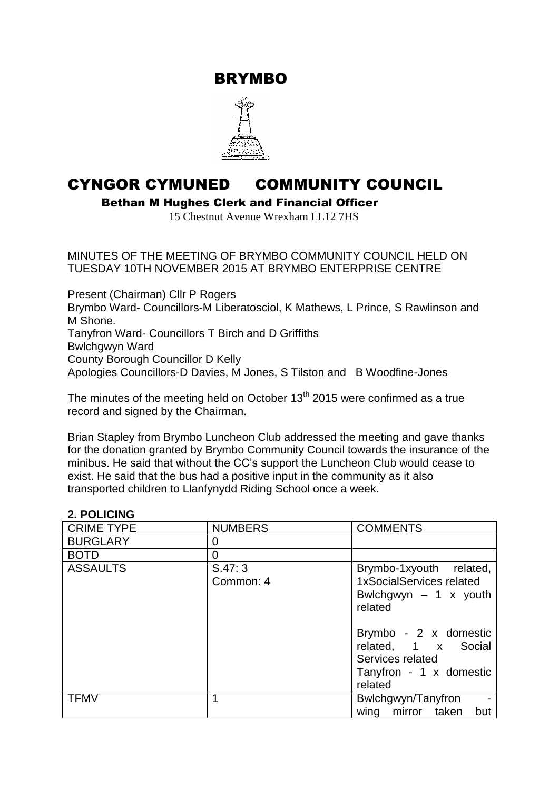BRYMBO



# CYNGOR CYMUNED COMMUNITY COUNCIL

Bethan M Hughes Clerk and Financial Officer

15 Chestnut Avenue Wrexham LL12 7HS

MINUTES OF THE MEETING OF BRYMBO COMMUNITY COUNCIL HELD ON TUESDAY 10TH NOVEMBER 2015 AT BRYMBO ENTERPRISE CENTRE

Present (Chairman) Cllr P Rogers Brymbo Ward- Councillors-M Liberatosciol, K Mathews, L Prince, S Rawlinson and M Shone. Tanyfron Ward- Councillors T Birch and D Griffiths Bwlchgwyn Ward County Borough Councillor D Kelly Apologies Councillors-D Davies, M Jones, S Tilston and B Woodfine-Jones

The minutes of the meeting held on October  $13<sup>th</sup>$  2015 were confirmed as a true record and signed by the Chairman.

Brian Stapley from Brymbo Luncheon Club addressed the meeting and gave thanks for the donation granted by Brymbo Community Council towards the insurance of the minibus. He said that without the CC's support the Luncheon Club would cease to exist. He said that the bus had a positive input in the community as it also transported children to Llanfynydd Riding School once a week.

#### **2. POLICING**

| <b>CRIME TYPE</b> | <b>NUMBERS</b>      | <b>COMMENTS</b>                                                                                        |  |
|-------------------|---------------------|--------------------------------------------------------------------------------------------------------|--|
| <b>BURGLARY</b>   | 0                   |                                                                                                        |  |
| <b>BOTD</b>       | 0                   |                                                                                                        |  |
| <b>ASSAULTS</b>   | S.47:3<br>Common: 4 | Brymbo-1xyouth related,<br>1xSocialServices related<br>Bwlchgwyn $-1$ x youth<br>related               |  |
|                   |                     | Brymbo - 2 x domestic<br>related, 1 x Social<br>Services related<br>Tanyfron - 1 x domestic<br>related |  |
| <b>TFMV</b>       |                     | Bwlchgwyn/Tanyfron<br>wing mirror taken but                                                            |  |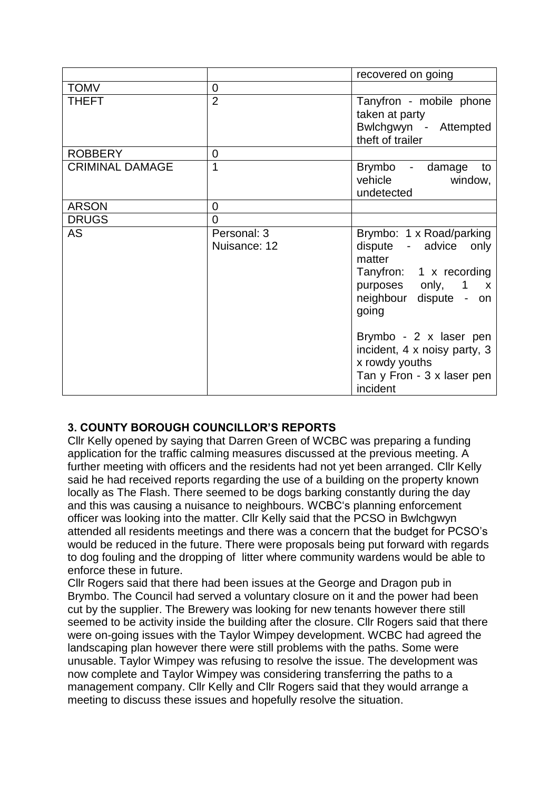|                        |                             | recovered on going                                                                                                                              |  |
|------------------------|-----------------------------|-------------------------------------------------------------------------------------------------------------------------------------------------|--|
| <b>TOMV</b>            | $\overline{0}$              |                                                                                                                                                 |  |
| <b>THEFT</b>           | $\overline{2}$              | Tanyfron - mobile phone<br>taken at party<br>Bwlchgwyn - Attempted<br>theft of trailer                                                          |  |
| <b>ROBBERY</b>         | 0                           |                                                                                                                                                 |  |
| <b>CRIMINAL DAMAGE</b> | 1                           | Brymbo - damage to<br>vehicle window,<br>undetected                                                                                             |  |
| <b>ARSON</b>           | $\overline{0}$              |                                                                                                                                                 |  |
| <b>DRUGS</b>           | $\overline{0}$              |                                                                                                                                                 |  |
| <b>AS</b>              | Personal: 3<br>Nuisance: 12 | Brymbo: 1 x Road/parking<br>dispute - advice only<br>matter<br>Tanyfron: 1 x recording<br>purposes only, 1 x<br>neighbour dispute - on<br>going |  |
|                        |                             | Brymbo - 2 x laser pen<br>incident, 4 x noisy party, 3<br>x rowdy youths<br>Tan y Fron - 3 x laser pen<br>incident                              |  |

## **3. COUNTY BOROUGH COUNCILLOR'S REPORTS**

Cllr Kelly opened by saying that Darren Green of WCBC was preparing a funding application for the traffic calming measures discussed at the previous meeting. A further meeting with officers and the residents had not yet been arranged. Cllr Kelly said he had received reports regarding the use of a building on the property known locally as The Flash. There seemed to be dogs barking constantly during the day and this was causing a nuisance to neighbours. WCBC's planning enforcement officer was looking into the matter. Cllr Kelly said that the PCSO in Bwlchgwyn attended all residents meetings and there was a concern that the budget for PCSO's would be reduced in the future. There were proposals being put forward with regards to dog fouling and the dropping of litter where community wardens would be able to enforce these in future.

Cllr Rogers said that there had been issues at the George and Dragon pub in Brymbo. The Council had served a voluntary closure on it and the power had been cut by the supplier. The Brewery was looking for new tenants however there still seemed to be activity inside the building after the closure. Cllr Rogers said that there were on-going issues with the Taylor Wimpey development. WCBC had agreed the landscaping plan however there were still problems with the paths. Some were unusable. Taylor Wimpey was refusing to resolve the issue. The development was now complete and Taylor Wimpey was considering transferring the paths to a management company. Cllr Kelly and Cllr Rogers said that they would arrange a meeting to discuss these issues and hopefully resolve the situation.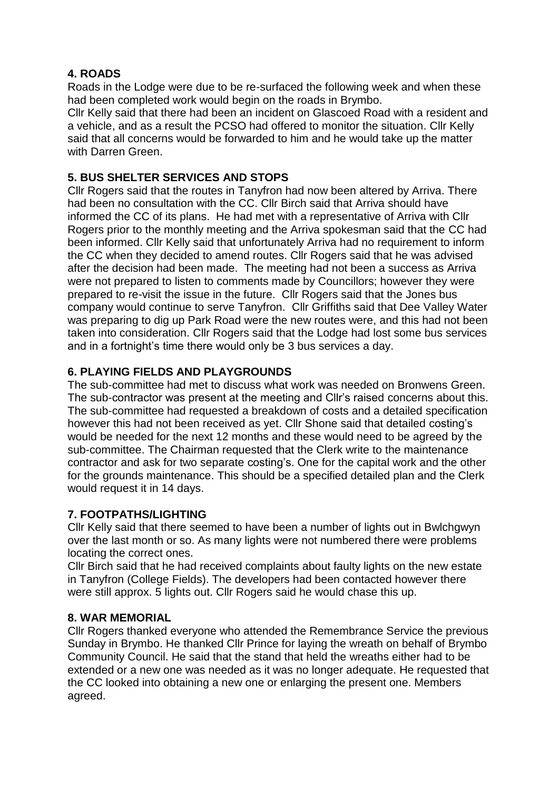## **4. ROADS**

Roads in the Lodge were due to be re-surfaced the following week and when these had been completed work would begin on the roads in Brymbo.

Cllr Kelly said that there had been an incident on Glascoed Road with a resident and a vehicle, and as a result the PCSO had offered to monitor the situation. Cllr Kelly said that all concerns would be forwarded to him and he would take up the matter with Darren Green.

## **5. BUS SHELTER SERVICES AND STOPS**

Cllr Rogers said that the routes in Tanyfron had now been altered by Arriva. There had been no consultation with the CC. Cllr Birch said that Arriva should have informed the CC of its plans. He had met with a representative of Arriva with Cllr Rogers prior to the monthly meeting and the Arriva spokesman said that the CC had been informed. Cllr Kelly said that unfortunately Arriva had no requirement to inform the CC when they decided to amend routes. Cllr Rogers said that he was advised after the decision had been made. The meeting had not been a success as Arriva were not prepared to listen to comments made by Councillors; however they were prepared to re-visit the issue in the future. Cllr Rogers said that the Jones bus company would continue to serve Tanyfron. Cllr Griffiths said that Dee Valley Water was preparing to dig up Park Road were the new routes were, and this had not been taken into consideration. Cllr Rogers said that the Lodge had lost some bus services and in a fortnight's time there would only be 3 bus services a day.

## **6. PLAYING FIELDS AND PLAYGROUNDS**

The sub-committee had met to discuss what work was needed on Bronwens Green. The sub-contractor was present at the meeting and Cllr's raised concerns about this. The sub-committee had requested a breakdown of costs and a detailed specification however this had not been received as yet. Cllr Shone said that detailed costing's would be needed for the next 12 months and these would need to be agreed by the sub-committee. The Chairman requested that the Clerk write to the maintenance contractor and ask for two separate costing's. One for the capital work and the other for the grounds maintenance. This should be a specified detailed plan and the Clerk would request it in 14 days.

#### **7. FOOTPATHS/LIGHTING**

Cllr Kelly said that there seemed to have been a number of lights out in Bwlchgwyn over the last month or so. As many lights were not numbered there were problems locating the correct ones.

Cllr Birch said that he had received complaints about faulty lights on the new estate in Tanyfron (College Fields). The developers had been contacted however there were still approx. 5 lights out. Cllr Rogers said he would chase this up.

#### **8. WAR MEMORIAL**

Cllr Rogers thanked everyone who attended the Remembrance Service the previous Sunday in Brymbo. He thanked Cllr Prince for laying the wreath on behalf of Brymbo Community Council. He said that the stand that held the wreaths either had to be extended or a new one was needed as it was no longer adequate. He requested that the CC looked into obtaining a new one or enlarging the present one. Members agreed.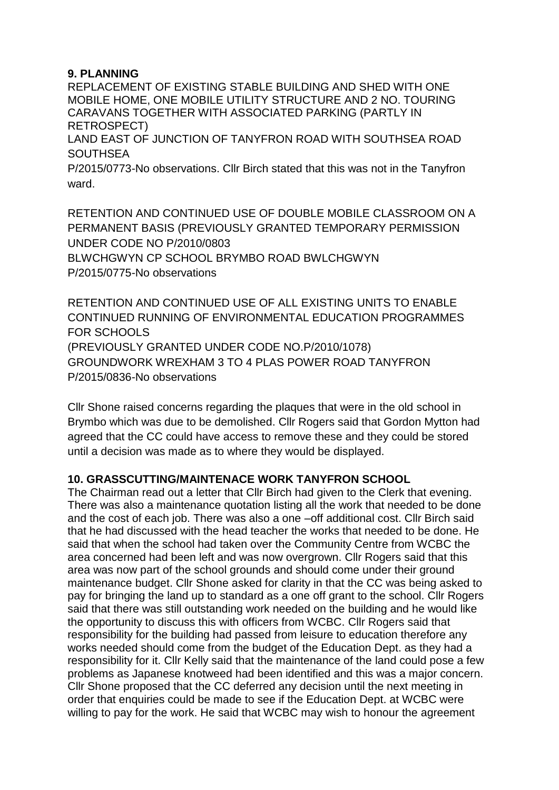## **9. PLANNING**

REPLACEMENT OF EXISTING STABLE BUILDING AND SHED WITH ONE MOBILE HOME, ONE MOBILE UTILITY STRUCTURE AND 2 NO. TOURING CARAVANS TOGETHER WITH ASSOCIATED PARKING (PARTLY IN RETROSPECT) LAND EAST OF JUNCTION OF TANYFRON ROAD WITH SOUTHSEA ROAD **SOUTHSEA** 

P/2015/0773-No observations. Cllr Birch stated that this was not in the Tanyfron ward.

RETENTION AND CONTINUED USE OF DOUBLE MOBILE CLASSROOM ON A PERMANENT BASIS (PREVIOUSLY GRANTED TEMPORARY PERMISSION UNDER CODE NO P/2010/0803 BLWCHGWYN CP SCHOOL BRYMBO ROAD BWLCHGWYN P/2015/0775-No observations

RETENTION AND CONTINUED USE OF ALL EXISTING UNITS TO ENABLE CONTINUED RUNNING OF ENVIRONMENTAL EDUCATION PROGRAMMES FOR SCHOOLS (PREVIOUSLY GRANTED UNDER CODE NO.P/2010/1078) GROUNDWORK WREXHAM 3 TO 4 PLAS POWER ROAD TANYFRON P/2015/0836-No observations

Cllr Shone raised concerns regarding the plaques that were in the old school in Brymbo which was due to be demolished. Cllr Rogers said that Gordon Mytton had agreed that the CC could have access to remove these and they could be stored until a decision was made as to where they would be displayed.

## **10. GRASSCUTTING/MAINTENACE WORK TANYFRON SCHOOL**

The Chairman read out a letter that Cllr Birch had given to the Clerk that evening. There was also a maintenance quotation listing all the work that needed to be done and the cost of each job. There was also a one –off additional cost. Cllr Birch said that he had discussed with the head teacher the works that needed to be done. He said that when the school had taken over the Community Centre from WCBC the area concerned had been left and was now overgrown. Cllr Rogers said that this area was now part of the school grounds and should come under their ground maintenance budget. Cllr Shone asked for clarity in that the CC was being asked to pay for bringing the land up to standard as a one off grant to the school. Cllr Rogers said that there was still outstanding work needed on the building and he would like the opportunity to discuss this with officers from WCBC. Cllr Rogers said that responsibility for the building had passed from leisure to education therefore any works needed should come from the budget of the Education Dept. as they had a responsibility for it. Cllr Kelly said that the maintenance of the land could pose a few problems as Japanese knotweed had been identified and this was a major concern. Cllr Shone proposed that the CC deferred any decision until the next meeting in order that enquiries could be made to see if the Education Dept. at WCBC were willing to pay for the work. He said that WCBC may wish to honour the agreement